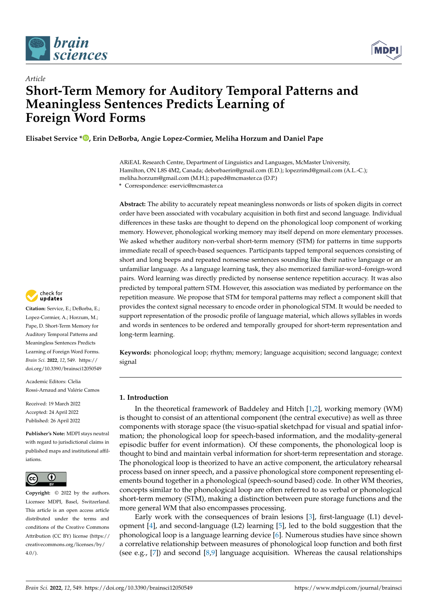



# *Article* **Short-Term Memory for Auditory Temporal Patterns and Meaningless Sentences Predicts Learning of Foreign Word Forms**

**Elisabet Service \* [,](https://orcid.org/0000-0002-7698-1189) Erin DeBorba, Angie Lopez-Cormier, Meliha Horzum and Daniel Pape**

ARiEAL Research Centre, Department of Linguistics and Languages, McMaster University, Hamilton, ON L8S 4M2, Canada; deborbaerin@gmail.com (E.D.); lopezrimd@gmail.com (A.L.-C.); meliha.horzum@gmail.com (M.H.); paped@mcmaster.ca (D.P.)

**\*** Correspondence: eservic@mcmaster.ca

**Abstract:** The ability to accurately repeat meaningless nonwords or lists of spoken digits in correct order have been associated with vocabulary acquisition in both first and second language. Individual differences in these tasks are thought to depend on the phonological loop component of working memory. However, phonological working memory may itself depend on more elementary processes. We asked whether auditory non-verbal short-term memory (STM) for patterns in time supports immediate recall of speech-based sequences. Participants tapped temporal sequences consisting of short and long beeps and repeated nonsense sentences sounding like their native language or an unfamiliar language. As a language learning task, they also memorized familiar-word–foreign-word pairs. Word learning was directly predicted by nonsense sentence repetition accuracy. It was also predicted by temporal pattern STM. However, this association was mediated by performance on the repetition measure. We propose that STM for temporal patterns may reflect a component skill that provides the context signal necessary to encode order in phonological STM. It would be needed to support representation of the prosodic profile of language material, which allows syllables in words and words in sentences to be ordered and temporally grouped for short-term representation and long-term learning.

**Keywords:** phonological loop; rhythm; memory; language acquisition; second language; context signal

# **1. Introduction**

In the theoretical framework of Baddeley and Hitch [\[1,](#page-7-0)[2\]](#page-7-1), working memory (WM) is thought to consist of an attentional component (the central executive) as well as three components with storage space (the visuo-spatial sketchpad for visual and spatial information; the phonological loop for speech-based information, and the modality-general episodic buffer for event information). Of these components, the phonological loop is thought to bind and maintain verbal information for short-term representation and storage. The phonological loop is theorized to have an active component, the articulatory rehearsal process based on inner speech, and a passive phonological store component representing elements bound together in a phonological (speech-sound based) code. In other WM theories, concepts similar to the phonological loop are often referred to as verbal or phonological short-term memory (STM), making a distinction between pure storage functions and the more general WM that also encompasses processing.

Early work with the consequences of brain lesions [\[3\]](#page-7-2), first-language (L1) development [\[4\]](#page-7-3), and second-language (L2) learning [\[5\]](#page-7-4), led to the bold suggestion that the phonological loop is a language learning device [\[6\]](#page-7-5). Numerous studies have since shown a correlative relationship between measures of phonological loop function and both first (see e.g., [\[7\]](#page-7-6)) and second [\[8,](#page-7-7)[9\]](#page-7-8) language acquisition. Whereas the causal relationships



**Citation:** Service, E.; DeBorba, E.; Lopez-Cormier, A.; Horzum, M.; Pape, D. Short-Term Memory for Auditory Temporal Patterns and Meaningless Sentences Predicts Learning of Foreign Word Forms. *Brain Sci.* **2022**, *12*, 549. [https://](https://doi.org/10.3390/brainsci12050549) [doi.org/10.3390/brainsci12050549](https://doi.org/10.3390/brainsci12050549)

Academic Editors: Clelia Rossi-Arnaud and Valérie Camos

Received: 19 March 2022 Accepted: 24 April 2022 Published: 26 April 2022

**Publisher's Note:** MDPI stays neutral with regard to jurisdictional claims in published maps and institutional affiliations.



**Copyright:** © 2022 by the authors. Licensee MDPI, Basel, Switzerland. This article is an open access article distributed under the terms and conditions of the Creative Commons Attribution (CC BY) license [\(https://](https://creativecommons.org/licenses/by/4.0/) [creativecommons.org/licenses/by/](https://creativecommons.org/licenses/by/4.0/)  $4.0/$ ).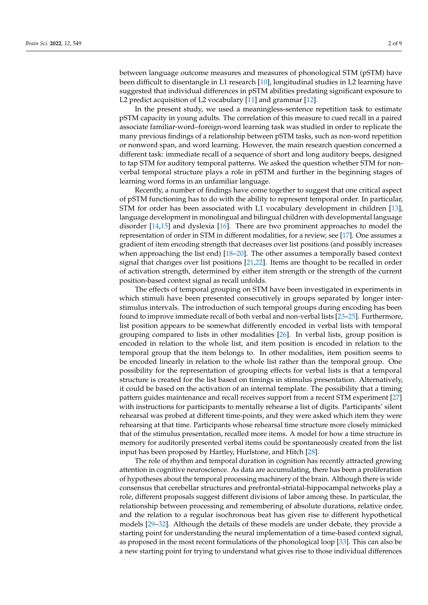between language outcome measures and measures of phonological STM (pSTM) have been difficult to disentangle in L1 research [\[10\]](#page-7-9), longitudinal studies in L2 learning have suggested that individual differences in pSTM abilities predating significant exposure to L2 predict acquisition of L2 vocabulary [\[11\]](#page-8-0) and grammar [\[12\]](#page-8-1).

In the present study, we used a meaningless-sentence repetition task to estimate pSTM capacity in young adults. The correlation of this measure to cued recall in a paired associate familiar-word–foreign-word learning task was studied in order to replicate the many previous findings of a relationship between pSTM tasks, such as non-word repetition or nonword span, and word learning. However, the main research question concerned a different task: immediate recall of a sequence of short and long auditory beeps, designed to tap STM for auditory temporal patterns. We asked the question whether STM for nonverbal temporal structure plays a role in pSTM and further in the beginning stages of learning word forms in an unfamiliar language.

Recently, a number of findings have come together to suggest that one critical aspect of pSTM functioning has to do with the ability to represent temporal order. In particular, STM for order has been associated with L1 vocabulary development in children [\[13\]](#page-8-2), language development in monolingual and bilingual children with developmental language disorder [\[14](#page-8-3)[,15\]](#page-8-4) and dyslexia [\[16\]](#page-8-5). There are two prominent approaches to model the representation of order in STM in different modalities, for a review, see [\[17\]](#page-8-6). One assumes a gradient of item encoding strength that decreases over list positions (and possibly increases when approaching the list end) [\[18](#page-8-7)[–20\]](#page-8-8). The other assumes a temporally based context signal that changes over list positions [\[21,](#page-8-9)[22\]](#page-8-10). Items are thought to be recalled in order of activation strength, determined by either item strength or the strength of the current position-based context signal as recall unfolds.

The effects of temporal grouping on STM have been investigated in experiments in which stimuli have been presented consecutively in groups separated by longer interstimulus intervals. The introduction of such temporal groups during encoding has been found to improve immediate recall of both verbal and non-verbal lists [\[23–](#page-8-11)[25\]](#page-8-12). Furthermore, list position appears to be somewhat differently encoded in verbal lists with temporal grouping compared to lists in other modalities [\[26\]](#page-8-13). In verbal lists, group position is encoded in relation to the whole list, and item position is encoded in relation to the temporal group that the item belongs to. In other modalities, item position seems to be encoded linearly in relation to the whole list rather than the temporal group. One possibility for the representation of grouping effects for verbal lists is that a temporal structure is created for the list based on timings in stimulus presentation. Alternatively, it could be based on the activation of an internal template. The possibility that a timing pattern guides maintenance and recall receives support from a recent STM experiment [\[27\]](#page-8-14) with instructions for participants to mentally rehearse a list of digits. Participants' silent rehearsal was probed at different time-points, and they were asked which item they were rehearsing at that time. Participants whose rehearsal time structure more closely mimicked that of the stimulus presentation, recalled more items. A model for how a time structure in memory for auditorily presented verbal items could be spontaneously created from the list input has been proposed by Hartley, Hurlstone, and Hitch [\[28\]](#page-8-15).

The role of rhythm and temporal duration in cognition has recently attracted growing attention in cognitive neuroscience. As data are accumulating, there has been a proliferation of hypotheses about the temporal processing machinery of the brain. Although there is wide consensus that cerebellar structures and prefrontal-striatal-hippocampal networks play a role, different proposals suggest different divisions of labor among these. In particular, the relationship between processing and remembering of absolute durations, relative order, and the relation to a regular isochronous beat has given rise to different hypothetical models [\[29–](#page-8-16)[32\]](#page-8-17). Although the details of these models are under debate, they provide a starting point for understanding the neural implementation of a time-based context signal, as proposed in the most recent formulations of the phonological loop [\[33\]](#page-8-18). This can also be a new starting point for trying to understand what gives rise to those individual differences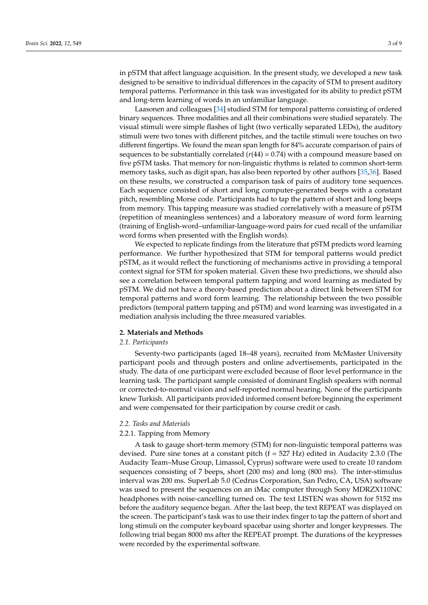in pSTM that affect language acquisition. In the present study, we developed a new task designed to be sensitive to individual differences in the capacity of STM to present auditory temporal patterns. Performance in this task was investigated for its ability to predict pSTM and long-term learning of words in an unfamiliar language.

Laasonen and colleagues [\[34\]](#page-8-19) studied STM for temporal patterns consisting of ordered binary sequences. Three modalities and all their combinations were studied separately. The visual stimuli were simple flashes of light (two vertically separated LEDs), the auditory stimuli were two tones with different pitches, and the tactile stimuli were touches on two different fingertips. We found the mean span length for 84% accurate comparison of pairs of sequences to be substantially correlated  $(r(44) = 0.74)$  with a compound measure based on five pSTM tasks. That memory for non-linguistic rhythms is related to common short-term memory tasks, such as digit span, has also been reported by other authors [\[35](#page-8-20)[,36\]](#page-8-21). Based on these results, we constructed a comparison task of pairs of auditory tone sequences. Each sequence consisted of short and long computer-generated beeps with a constant pitch, resembling Morse code. Participants had to tap the pattern of short and long beeps from memory. This tapping measure was studied correlatively with a measure of pSTM (repetition of meaningless sentences) and a laboratory measure of word form learning (training of English-word–unfamiliar-language-word pairs for cued recall of the unfamiliar word forms when presented with the English words).

We expected to replicate findings from the literature that pSTM predicts word learning performance. We further hypothesized that STM for temporal patterns would predict pSTM, as it would reflect the functioning of mechanisms active in providing a temporal context signal for STM for spoken material. Given these two predictions, we should also see a correlation between temporal pattern tapping and word learning as mediated by pSTM. We did not have a theory-based prediction about a direct link between STM for temporal patterns and word form learning. The relationship between the two possible predictors (temporal pattern tapping and pSTM) and word learning was investigated in a mediation analysis including the three measured variables.

## **2. Materials and Methods**

# *2.1. Participants*

Seventy-two participants (aged 18–48 years), recruited from McMaster University participant pools and through posters and online advertisements, participated in the study. The data of one participant were excluded because of floor level performance in the learning task. The participant sample consisted of dominant English speakers with normal or corrected-to-normal vision and self-reported normal hearing. None of the participants knew Turkish. All participants provided informed consent before beginning the experiment and were compensated for their participation by course credit or cash.

#### *2.2. Tasks and Materials*

#### 2.2.1. Tapping from Memory

A task to gauge short-term memory (STM) for non-linguistic temporal patterns was devised. Pure sine tones at a constant pitch  $(f = 527 \text{ Hz})$  edited in Audacity 2.3.0 (The Audacity Team–Muse Group, Limassol, Cyprus) software were used to create 10 random sequences consisting of 7 beeps, short (200 ms) and long (800 ms). The inter-stimulus interval was 200 ms. SuperLab 5.0 (Cedrus Corporation, San Pedro, CA, USA) software was used to present the sequences on an iMac computer through Sony MDRZX110NC headphones with noise-cancelling turned on. The text LISTEN was shown for 5152 ms before the auditory sequence began. After the last beep, the text REPEAT was displayed on the screen. The participant's task was to use their index finger to tap the pattern of short and long stimuli on the computer keyboard spacebar using shorter and longer keypresses. The following trial began 8000 ms after the REPEAT prompt. The durations of the keypresses were recorded by the experimental software.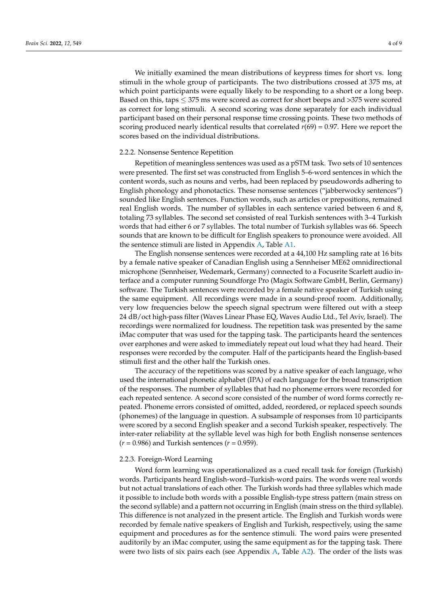We initially examined the mean distributions of keypress times for short vs. long stimuli in the whole group of participants. The two distributions crossed at 375 ms, at which point participants were equally likely to be responding to a short or a long beep. Based on this, taps  $\leq$  375 ms were scored as correct for short beeps and >375 were scored as correct for long stimuli. A second scoring was done separately for each individual participant based on their personal response time crossing points. These two methods of scoring produced nearly identical results that correlated *r*(69) = 0.97. Here we report the scores based on the individual distributions.

#### 2.2.2. Nonsense Sentence Repetition

Repetition of meaningless sentences was used as a pSTM task. Two sets of 10 sentences were presented. The first set was constructed from English 5–6-word sentences in which the content words, such as nouns and verbs, had been replaced by pseudowords adhering to English phonology and phonotactics. These nonsense sentences ("jabberwocky sentences") sounded like English sentences. Function words, such as articles or prepositions, remained real English words. The number of syllables in each sentence varied between 6 and 8, totaling 73 syllables. The second set consisted of real Turkish sentences with 3–4 Turkish words that had either 6 or 7 syllables. The total number of Turkish syllables was 66. Speech sounds that are known to be difficult for English speakers to pronounce were avoided. All the sentence stimuli are listed in Appendix [A,](#page-7-10) Table [A1.](#page-7-11)

The English nonsense sentences were recorded at a 44,100 Hz sampling rate at 16 bits by a female native speaker of Canadian English using a Sennheiser ME62 omnidirectional microphone (Sennheiser, Wedemark, Germany) connected to a Focusrite Scarlett audio interface and a computer running Soundforge Pro (Magix Software GmbH, Berlin, Germany) software. The Turkish sentences were recorded by a female native speaker of Turkish using the same equipment. All recordings were made in a sound-proof room. Additionally, very low frequencies below the speech signal spectrum were filtered out with a steep 24 dB/oct high-pass filter (Waves Linear Phase EQ, Waves Audio Ltd., Tel Aviv, Israel). The recordings were normalized for loudness. The repetition task was presented by the same iMac computer that was used for the tapping task. The participants heard the sentences over earphones and were asked to immediately repeat out loud what they had heard. Their responses were recorded by the computer. Half of the participants heard the English-based stimuli first and the other half the Turkish ones.

The accuracy of the repetitions was scored by a native speaker of each language, who used the international phonetic alphabet (IPA) of each language for the broad transcription of the responses. The number of syllables that had no phoneme errors were recorded for each repeated sentence. A second score consisted of the number of word forms correctly repeated. Phoneme errors consisted of omitted, added, reordered, or replaced speech sounds (phonemes) of the language in question. A subsample of responses from 10 participants were scored by a second English speaker and a second Turkish speaker, respectively. The inter-rater reliability at the syllable level was high for both English nonsense sentences  $(r = 0.986)$  and Turkish sentences  $(r = 0.959)$ .

#### 2.2.3. Foreign-Word Learning

Word form learning was operationalized as a cued recall task for foreign (Turkish) words. Participants heard English-word–Turkish-word pairs. The words were real words but not actual translations of each other. The Turkish words had three syllables which made it possible to include both words with a possible English-type stress pattern (main stress on the second syllable) and a pattern not occurring in English (main stress on the third syllable). This difference is not analyzed in the present article. The English and Turkish words were recorded by female native speakers of English and Turkish, respectively, using the same equipment and procedures as for the sentence stimuli. The word pairs were presented auditorily by an iMac computer, using the same equipment as for the tapping task. There were two lists of six pairs each (see Appendix [A,](#page-7-10) Table [A2\)](#page-7-12). The order of the lists was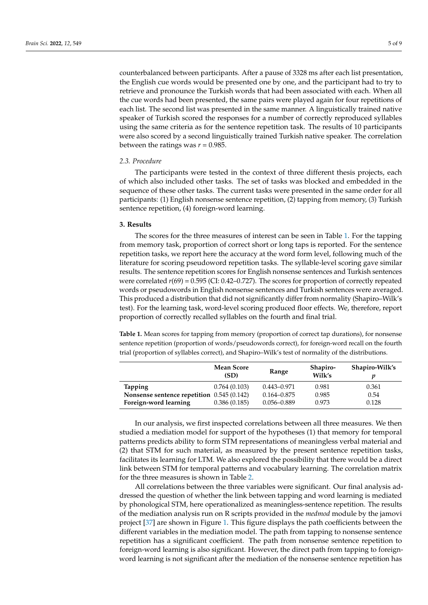counterbalanced between participants. After a pause of 3328 ms after each list presentation, the English cue words would be presented one by one, and the participant had to try to retrieve and pronounce the Turkish words that had been associated with each. When all the cue words had been presented, the same pairs were played again for four repetitions of each list. The second list was presented in the same manner. A linguistically trained native

speaker of Turkish scored the responses for a number of correctly reproduced syllables using the same criteria as for the sentence repetition task. The results of 10 participants were also scored by a second linguistically trained Turkish native speaker. The correlation between the ratings was  $r = 0.985$ .

# *2.3. Procedure*

The participants were tested in the context of three different thesis projects, each of which also included other tasks. The set of tasks was blocked and embedded in the sequence of these other tasks. The current tasks were presented in the same order for all participants: (1) English nonsense sentence repetition, (2) tapping from memory, (3) Turkish sentence repetition, (4) foreign-word learning.

#### **3. Results**

The scores for the three measures of interest can be seen in Table [1.](#page-4-0) For the tapping from memory task, proportion of correct short or long taps is reported. For the sentence repetition tasks, we report here the accuracy at the word form level, following much of the literature for scoring pseudoword repetition tasks. The syllable-level scoring gave similar results. The sentence repetition scores for English nonsense sentences and Turkish sentences were correlated *r*(69) = 0.595 (CI: 0.42–0.727). The scores for proportion of correctly repeated words or pseudowords in English nonsense sentences and Turkish sentences were averaged. This produced a distribution that did not significantly differ from normality (Shapiro–Wilk's test). For the learning task, word-level scoring produced floor effects. We, therefore, report proportion of correctly recalled syllables on the fourth and final trial.

<span id="page-4-0"></span>**Table 1.** Mean scores for tapping from memory (proportion of correct tap durations), for nonsense sentence repetition (proportion of words/pseudowords correct), for foreign-word recall on the fourth trial (proportion of syllables correct), and Shapiro–Wilk's test of normality of the distributions.

|                                             | <b>Mean Score</b><br>(SD) | Range           | Shapiro-<br>Wilk's | Shapiro-Wilk's |
|---------------------------------------------|---------------------------|-----------------|--------------------|----------------|
| <b>Tapping</b>                              | 0.764(0.103)              | $0.443 - 0.971$ | 0.981              | 0.361          |
| Nonsense sentence repetition $0.545(0.142)$ |                           | $0.164 - 0.875$ | 0.985              | 0.54           |
| Foreign-word learning                       | 0.386(0.185)              | $0.056 - 0.889$ | 0.973              | 0.128          |

In our analysis, we first inspected correlations between all three measures. We then studied a mediation model for support of the hypotheses (1) that memory for temporal patterns predicts ability to form STM representations of meaningless verbal material and (2) that STM for such material, as measured by the present sentence repetition tasks, facilitates its learning for LTM. We also explored the possibility that there would be a direct link between STM for temporal patterns and vocabulary learning. The correlation matrix for the three measures is shown in Table [2.](#page-5-0)

All correlations between the three variables were significant. Our final analysis addressed the question of whether the link between tapping and word learning is mediated by phonological STM, here operationalized as meaningless-sentence repetition. The results of the mediation analysis run on R scripts provided in the *medmod* module by the jamovi project [\[37\]](#page-8-22) are shown in Figure [1.](#page-5-1) This figure displays the path coefficients between the different variables in the mediation model. The path from tapping to nonsense sentence repetition has a significant coefficient. The path from nonsense sentence repetition to foreign-word learning is also significant. However, the direct path from tapping to foreignword learning is not significant after the mediation of the nonsense sentence repetition has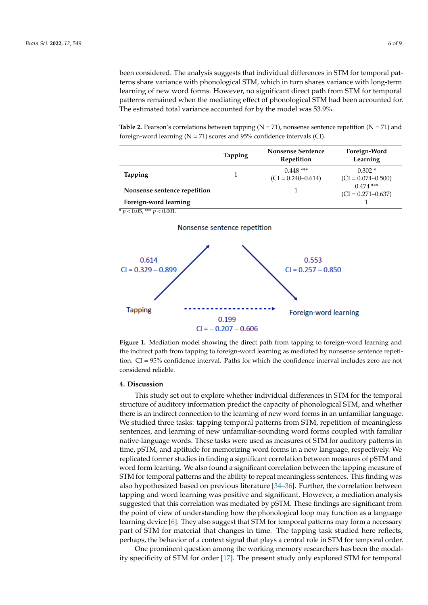been considered. The analysis suggests that individual differences in STM for temporal patterns share variance with phonological STM, which in turn shares variance with long-term learning of new word forms. However, no significant direct path from STM for temporal patterns remained when the mediating effect of phonological STM had been accounted for. The estimated total variance accounted for by the model was 53.9%.

<span id="page-5-0"></span>**Table 2.** Pearson's correlations between tapping  $(N = 71)$ , nonsense sentence repetition  $(N = 71)$  and foreign-word learning (N = 71) scores and 95% confidence intervals (CI).

|                              | <b>Tapping</b> | <b>Nonsense Sentence</b><br>Repetition | Foreign-Word<br>Learning              |
|------------------------------|----------------|----------------------------------------|---------------------------------------|
| <b>Tapping</b>               |                | $0.448$ ***<br>$(CI = 0.240 - 0.614)$  | $0.302*$<br>$(CI = 0.074 - 0.500)$    |
| Nonsense sentence repetition |                |                                        | $0.474$ ***<br>$(CI = 0.271 - 0.637)$ |
| Foreign-word learning        |                |                                        |                                       |

<span id="page-5-1"></span> $\frac{p}{p}$  < 0.05, \*\*\*  $p$  < 0.001.





**Figure 1.** Mediation model showing the direct path from tapping to foreign-word learning and the indirect path from tapping to foreign-word learning as mediated by nonsense sentence repetition. CI = 95% confidence interval. Paths for which the confidence interval includes zero are not considered reliable.

#### **4. Discussion**

This study set out to explore whether individual differences in STM for the temporal structure of auditory information predict the capacity of phonological STM, and whether there is an indirect connection to the learning of new word forms in an unfamiliar language. We studied three tasks: tapping temporal patterns from STM, repetition of meaningless sentences, and learning of new unfamiliar-sounding word forms coupled with familiar native-language words. These tasks were used as measures of STM for auditory patterns in time, pSTM, and aptitude for memorizing word forms in a new language, respectively. We replicated former studies in finding a significant correlation between measures of pSTM and word form learning. We also found a significant correlation between the tapping measure of STM for temporal patterns and the ability to repeat meaningless sentences. This finding was also hypothesized based on previous literature [\[34–](#page-8-19)[36\]](#page-8-21). Further, the correlation between tapping and word learning was positive and significant. However, a mediation analysis suggested that this correlation was mediated by pSTM. These findings are significant from the point of view of understanding how the phonological loop may function as a language learning device [\[6\]](#page-7-5). They also suggest that STM for temporal patterns may form a necessary part of STM for material that changes in time. The tapping task studied here reflects, perhaps, the behavior of a context signal that plays a central role in STM for temporal order.

One prominent question among the working memory researchers has been the modality specificity of STM for order [\[17\]](#page-8-6). The present study only explored STM for temporal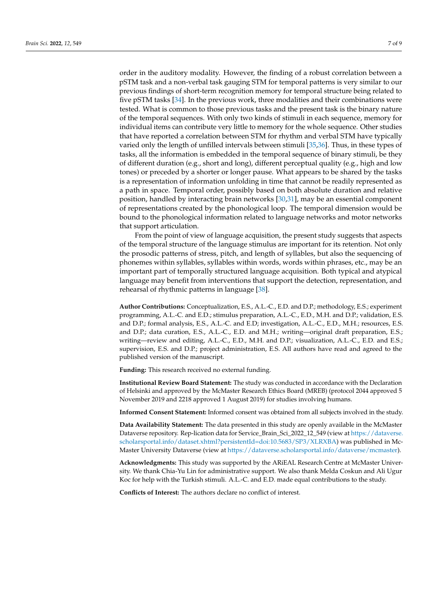order in the auditory modality. However, the finding of a robust correlation between a pSTM task and a non-verbal task gauging STM for temporal patterns is very similar to our previous findings of short-term recognition memory for temporal structure being related to five pSTM tasks [\[34\]](#page-8-19). In the previous work, three modalities and their combinations were tested. What is common to those previous tasks and the present task is the binary nature of the temporal sequences. With only two kinds of stimuli in each sequence, memory for individual items can contribute very little to memory for the whole sequence. Other studies that have reported a correlation between STM for rhythm and verbal STM have typically varied only the length of unfilled intervals between stimuli [\[35](#page-8-20)[,36\]](#page-8-21). Thus, in these types of tasks, all the information is embedded in the temporal sequence of binary stimuli, be they of different duration (e.g., short and long), different perceptual quality (e.g., high and low tones) or preceded by a shorter or longer pause. What appears to be shared by the tasks is a representation of information unfolding in time that cannot be readily represented as a path in space. Temporal order, possibly based on both absolute duration and relative position, handled by interacting brain networks [\[30,](#page-8-23)[31\]](#page-8-24), may be an essential component of representations created by the phonological loop. The temporal dimension would be bound to the phonological information related to language networks and motor networks that support articulation.

From the point of view of language acquisition, the present study suggests that aspects of the temporal structure of the language stimulus are important for its retention. Not only the prosodic patterns of stress, pitch, and length of syllables, but also the sequencing of phonemes within syllables, syllables within words, words within phrases, etc., may be an important part of temporally structured language acquisition. Both typical and atypical language may benefit from interventions that support the detection, representation, and rehearsal of rhythmic patterns in language [\[38\]](#page-8-25).

**Author Contributions:** Conceptualization, E.S., A.L.-C., E.D. and D.P.; methodology, E.S.; experiment programming, A.L.-C. and E.D.; stimulus preparation, A.L.-C., E.D., M.H. and D.P.; validation, E.S. and D.P.; formal analysis, E.S., A.L.-C. and E.D; investigation, A.L.-C., E.D., M.H.; resources, E.S. and D.P.; data curation, E.S., A.L.-C., E.D. and M.H.; writing—original draft preparation, E.S.; writing—review and editing, A.L.-C., E.D., M.H. and D.P.; visualization, A.L.-C., E.D. and E.S.; supervision, E.S. and D.P.; project administration, E.S. All authors have read and agreed to the published version of the manuscript.

**Funding:** This research received no external funding.

**Institutional Review Board Statement:** The study was conducted in accordance with the Declaration of Helsinki and approved by the McMaster Research Ethics Board (MREB) (protocol 2044 approved 5 November 2019 and 2218 approved 1 August 2019) for studies involving humans.

**Informed Consent Statement:** Informed consent was obtained from all subjects involved in the study.

**Data Availability Statement:** The data presented in this study are openly available in the McMaster Dataverse repository. Rep-lication data for Service\_Brain\_Sci\_2022\_12\_549 (view at [https://dataverse.](https://dataverse.scholarsportal.info/dataset.xhtml?persistentId=doi:10.5683/SP3/XLRXBA) [scholarsportal.info/dataset.xhtml?persistentId=doi:10.5683/SP3/XLRXBA\)](https://dataverse.scholarsportal.info/dataset.xhtml?persistentId=doi:10.5683/SP3/XLRXBA) was published in Mc-Master University Dataverse (view at [https://dataverse.scholarsportal.info/dataverse/mcmaster\)](https://dataverse.scholarsportal.info/dataverse/mcmaster).

**Acknowledgments:** This study was supported by the ARiEAL Research Centre at McMaster University. We thank Chia-Yu Lin for administrative support. We also thank Melda Coskun and Ali Ugur Koc for help with the Turkish stimuli. A.L.-C. and E.D. made equal contributions to the study.

**Conflicts of Interest:** The authors declare no conflict of interest.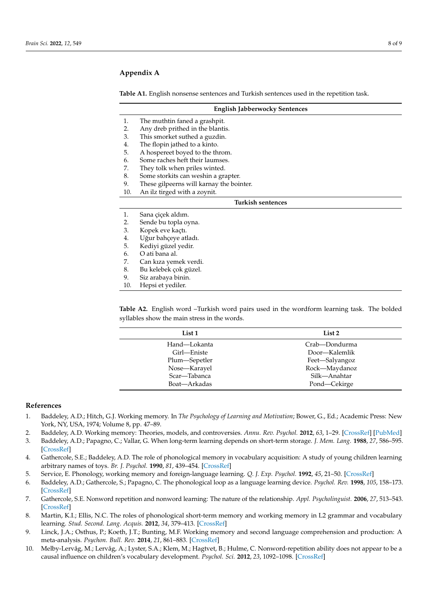# <span id="page-7-10"></span>**Appendix A**

<span id="page-7-11"></span>**Table A1.** English nonsense sentences and Turkish sentences used in the repetition task.

|                   | <b>English Jabberwocky Sentences</b>     |  |  |
|-------------------|------------------------------------------|--|--|
| $\mathbf{1}$ .    | The muthtin faned a grashpit.            |  |  |
| 2.                | Any dreb prithed in the blantis.         |  |  |
| 3.                | This smorket suthed a guzdin.            |  |  |
| 4.                | The flopin jathed to a kinto.            |  |  |
| 5.                | A hospereet boyed to the throm.          |  |  |
| 6.                | Some raches heft their laumses.          |  |  |
| 7.                | They tolk when priles winted.            |  |  |
| 8.                | Some storkits can weshin a grapter.      |  |  |
| 9.                | These gilpeerns will karnay the bointer. |  |  |
| 10.               | An ilz tirged with a zoynit.             |  |  |
| Turkish sentences |                                          |  |  |
| 1.                | Sana çiçek aldım.                        |  |  |
| 2.                | Sende bu topla oyna.                     |  |  |
| 3.                | Kopek eve kaçtı.                         |  |  |
| 4.                | Uğur bahçeye atladı.                     |  |  |
| 5.                | Kediyi güzel yedir.                      |  |  |
| 6.                | O ati bana al.                           |  |  |
| 7.                | Can kiza yemek verdi.                    |  |  |
| 8.                | Bu kelebek çok güzel.                    |  |  |
| 9.                | Siz arabaya binin.                       |  |  |
| 10.               | Hepsi et yediler.                        |  |  |

<span id="page-7-12"></span>**Table A2.** English word –Turkish word pairs used in the wordform learning task. The bolded syllables show the main stress in the words.

| List <sub>1</sub> | List 2         |
|-------------------|----------------|
| Hand—Lokanta      | Crab—Dondurma  |
| Girl-Eniste       | Door—Kalemlik  |
| Plum—Sepetler     | Feet-Salyangoz |
| Nose-Karayel      | Rock-Maydanoz  |
| Scar—Tabanca      | Silk-Anahtar   |
| Boat-Arkadas      | Pond—Cekirge   |

## **References**

- <span id="page-7-0"></span>1. Baddeley, A.D.; Hitch, G.J. Working memory. In *The Psychology of Learning and Motivation*; Bower, G., Ed.; Academic Press: New York, NY, USA, 1974; Volume 8, pp. 47–89.
- <span id="page-7-1"></span>2. Baddeley, A.D. Working memory: Theories, models, and controversies. *Annu. Rev. Psychol.* **2012**, *63*, 1–29. [\[CrossRef\]](http://doi.org/10.1146/annurev-psych-120710-100422) [\[PubMed\]](http://www.ncbi.nlm.nih.gov/pubmed/21961947)
- <span id="page-7-2"></span>3. Baddeley, A.D.; Papagno, C.; Vallar, G. When long-term learning depends on short-term storage. *J. Mem. Lang.* **1988**, *27*, 586–595. [\[CrossRef\]](http://doi.org/10.1016/0749-596X(88)90028-9)
- <span id="page-7-3"></span>4. Gathercole, S.E.; Baddeley, A.D. The role of phonological memory in vocabulary acquisition: A study of young children learning arbitrary names of toys. *Br. J. Psychol.* **1990**, *81*, 439–454. [\[CrossRef\]](http://doi.org/10.1111/j.2044-8295.1990.tb02371.x)
- <span id="page-7-4"></span>5. Service, E. Phonology, working memory and foreign-language learning. *Q. J. Exp. Psychol.* **1992**, *45*, 21–50. [\[CrossRef\]](http://doi.org/10.1080/14640749208401314)
- <span id="page-7-5"></span>6. Baddeley, A.D.; Gathercole, S.; Papagno, C. The phonological loop as a language learning device. *Psychol. Rev.* **1998**, *105*, 158–173. [\[CrossRef\]](http://doi.org/10.1037/0033-295X.105.1.158)
- <span id="page-7-6"></span>7. Gathercole, S.E. Nonword repetition and nonword learning: The nature of the relationship. *Appl. Psycholinguist.* **2006**, *27*, 513–543. [\[CrossRef\]](http://doi.org/10.1017/S0142716406060383)
- <span id="page-7-7"></span>8. Martin, K.I.; Ellis, N.C. The roles of phonological short-term memory and working memory in L2 grammar and vocabulary learning. *Stud. Second. Lang. Acquis.* **2012**, *34*, 379–413. [\[CrossRef\]](http://doi.org/10.1017/S0272263112000125)
- <span id="page-7-8"></span>9. Linck, J.A.; Osthus, P.; Koeth, J.T.; Bunting, M.F. Working memory and second language comprehension and production: A meta-analysis. *Psychon. Bull. Rev.* **2014**, *21*, 861–883. [\[CrossRef\]](http://doi.org/10.3758/s13423-013-0565-2)
- <span id="page-7-9"></span>10. Melby-Lervåg, M.; Lervåg, A.; Lyster, S.A.; Klem, M.; Hagtvet, B.; Hulme, C. Nonword-repetition ability does not appear to be a causal influence on children's vocabulary development. *Psychol. Sci.* **2012**, *23*, 1092–1098. [\[CrossRef\]](http://doi.org/10.1177/0956797612443833)